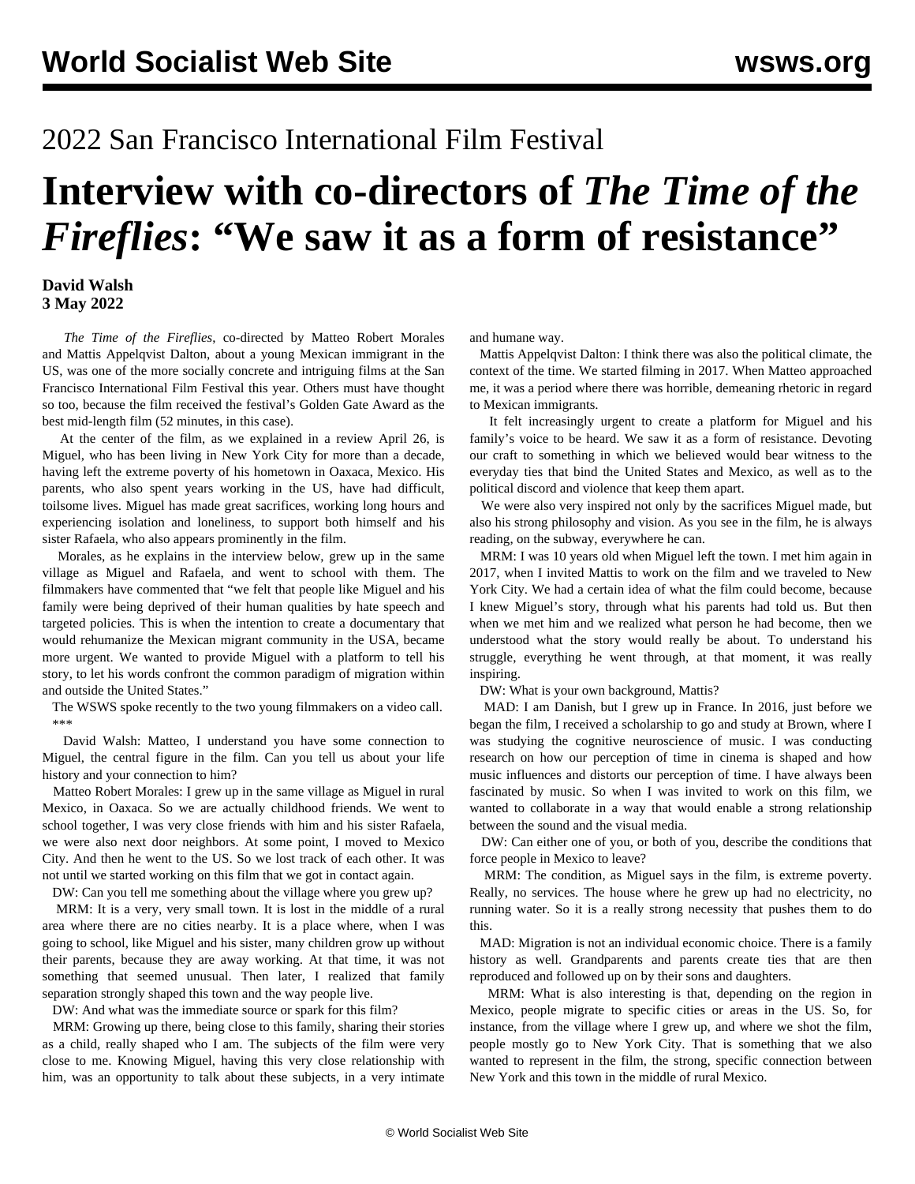## 2022 San Francisco International Film Festival

## **Interview with co-directors of** *The Time of the Fireflies***: "We saw it as a form of resistance"**

## **David Walsh 3 May 2022**

 *The Time of the Fireflies*, co-directed by Matteo Robert Morales and Mattis Appelqvist Dalton, about a young Mexican immigrant in the US, was one of the more socially concrete and intriguing films at the San Francisco International Film Festival this year. Others must have thought so too, because the film received the festival's Golden Gate Award as the best mid-length film (52 minutes, in this case).

 At the center of the film, as we explained in a [review](/en/articles/2022/04/27/vcfq-a27.html) April 26, is Miguel, who has been living in New York City for more than a decade, having left the extreme poverty of his hometown in Oaxaca, Mexico. His parents, who also spent years working in the US, have had difficult, toilsome lives. Miguel has made great sacrifices, working long hours and experiencing isolation and loneliness, to support both himself and his sister Rafaela, who also appears prominently in the film.

 Morales, as he explains in the interview below, grew up in the same village as Miguel and Rafaela, and went to school with them. The filmmakers have commented that "we felt that people like Miguel and his family were being deprived of their human qualities by hate speech and targeted policies. This is when the intention to create a documentary that would rehumanize the Mexican migrant community in the USA, became more urgent. We wanted to provide Miguel with a platform to tell his story, to let his words confront the common paradigm of migration within and outside the United States."

 The WSWS spoke recently to the two young filmmakers on a video call. \*\*\*

 David Walsh: Matteo, I understand you have some connection to Miguel, the central figure in the film. Can you tell us about your life history and your connection to him?

 Matteo Robert Morales: I grew up in the same village as Miguel in rural Mexico, in Oaxaca. So we are actually childhood friends. We went to school together, I was very close friends with him and his sister Rafaela, we were also next door neighbors. At some point, I moved to Mexico City. And then he went to the US. So we lost track of each other. It was not until we started working on this film that we got in contact again.

DW: Can you tell me something about the village where you grew up?

 MRM: It is a very, very small town. It is lost in the middle of a rural area where there are no cities nearby. It is a place where, when I was going to school, like Miguel and his sister, many children grow up without their parents, because they are away working. At that time, it was not something that seemed unusual. Then later, I realized that family separation strongly shaped this town and the way people live.

DW: And what was the immediate source or spark for this film?

 MRM: Growing up there, being close to this family, sharing their stories as a child, really shaped who I am. The subjects of the film were very close to me. Knowing Miguel, having this very close relationship with him, was an opportunity to talk about these subjects, in a very intimate and humane way.

 Mattis Appelqvist Dalton: I think there was also the political climate, the context of the time. We started filming in 2017. When Matteo approached me, it was a period where there was horrible, demeaning rhetoric in regard to Mexican immigrants.

 It felt increasingly urgent to create a platform for Miguel and his family's voice to be heard. We saw it as a form of resistance. Devoting our craft to something in which we believed would bear witness to the everyday ties that bind the United States and Mexico, as well as to the political discord and violence that keep them apart.

 We were also very inspired not only by the sacrifices Miguel made, but also his strong philosophy and vision. As you see in the film, he is always reading, on the subway, everywhere he can.

 MRM: I was 10 years old when Miguel left the town. I met him again in 2017, when I invited Mattis to work on the film and we traveled to New York City. We had a certain idea of what the film could become, because I knew Miguel's story, through what his parents had told us. But then when we met him and we realized what person he had become, then we understood what the story would really be about. To understand his struggle, everything he went through, at that moment, it was really inspiring.

DW: What is your own background, Mattis?

 MAD: I am Danish, but I grew up in France. In 2016, just before we began the film, I received a scholarship to go and study at Brown, where I was studying the cognitive neuroscience of music. I was conducting research on how our perception of time in cinema is shaped and how music influences and distorts our perception of time. I have always been fascinated by music. So when I was invited to work on this film, we wanted to collaborate in a way that would enable a strong relationship between the sound and the visual media.

 DW: Can either one of you, or both of you, describe the conditions that force people in Mexico to leave?

 MRM: The condition, as Miguel says in the film, is extreme poverty. Really, no services. The house where he grew up had no electricity, no running water. So it is a really strong necessity that pushes them to do this.

 MAD: Migration is not an individual economic choice. There is a family history as well. Grandparents and parents create ties that are then reproduced and followed up on by their sons and daughters.

 MRM: What is also interesting is that, depending on the region in Mexico, people migrate to specific cities or areas in the US. So, for instance, from the village where I grew up, and where we shot the film, people mostly go to New York City. That is something that we also wanted to represent in the film, the strong, specific connection between New York and this town in the middle of rural Mexico.